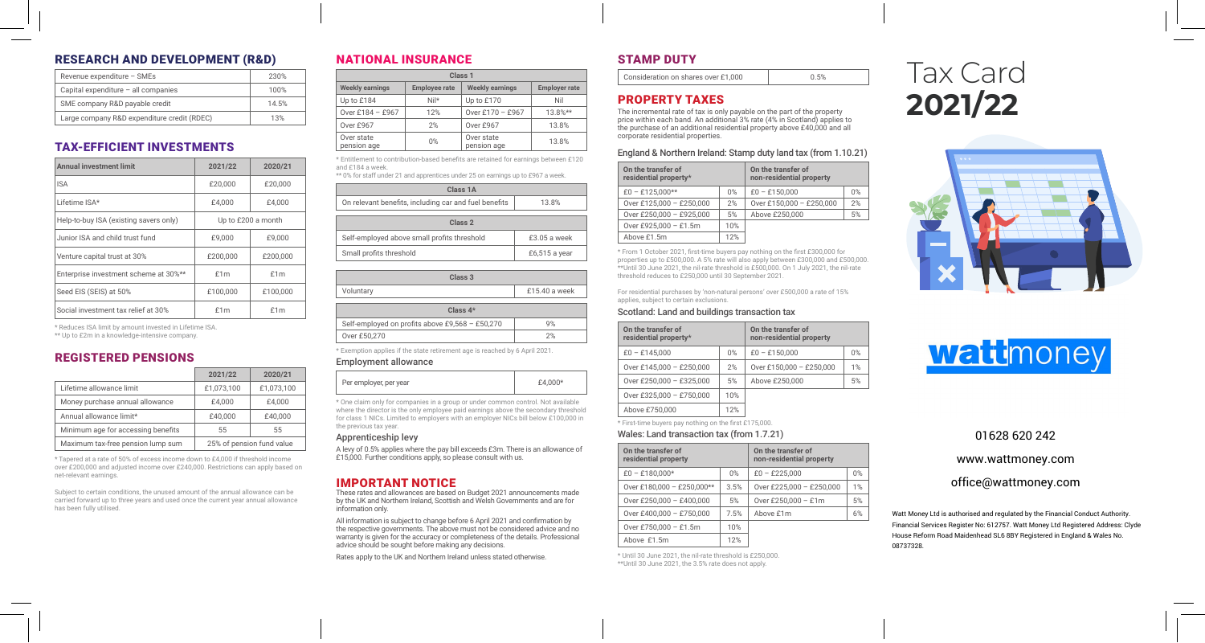# RESEARCH AND DEVELOPMENT (R&D)

| Revenue expenditure - SMEs                  | 230%  |
|---------------------------------------------|-------|
| Capital expenditure - all companies         | 100%  |
| SME company R&D payable credit              | 14.5% |
| Large company R&D expenditure credit (RDEC) | 13%   |
|                                             |       |

## TAX-EFFICIENT INVESTMENTS

| <b>Annual investment limit</b>         | 2021/22            | 2020/21  |  |
|----------------------------------------|--------------------|----------|--|
| <b>ISA</b>                             | £20,000            | £20,000  |  |
| Lifetime ISA*                          | £4,000             | £4.000   |  |
| Help-to-buy ISA (existing savers only) | Up to £200 a month |          |  |
| Junior ISA and child trust fund        | £9.000             | £9.000   |  |
| Venture capital trust at 30%           | £200,000           | £200,000 |  |
| Enterprise investment scheme at 30%**  | f1m                | £1m      |  |
| Seed EIS (SEIS) at 50%                 | £100.000           | £100,000 |  |
| Social investment tax relief at 30%    | f1m                | £1m      |  |

\* Reduces ISA limit by amount invested in Lifetime ISA. \*\* Up to £2m in a knowledge-intensive company.

#### REGISTERED PENSIONS

|                                    | 2021/22    | 2020/21                   |
|------------------------------------|------------|---------------------------|
| Lifetime allowance limit           | £1.073.100 | £1.073.100                |
| Money purchase annual allowance    | £4.000     | £4.000                    |
| Annual allowance limit*            | £40,000    | £40,000                   |
| Minimum age for accessing benefits | 55         | 55                        |
| Maximum tax-free pension lump sum  |            | 25% of pension fund value |

\* Tapered at a rate of 50% of excess income down to £4,000 if threshold income over £200,000 and adjusted income over £240,000. Restrictions can apply based on net-relevant earnings.

Subject to certain conditions, the unused amount of the annual allowance can be carried forward up to three years and used once the current year annual allowance has been fully utilised.

# NATIONAL INSURANCE

| Class <sub>1</sub>        |                      |                           |                      |
|---------------------------|----------------------|---------------------------|----------------------|
| <b>Weekly earnings</b>    | <b>Employee rate</b> | <b>Weekly earnings</b>    | <b>Employer rate</b> |
| Up to £184                | $Nil*$               | Up to £170                | Nil                  |
| Over £184 - £967          | 12%                  | Over £170 - £967          | $13.8%**$            |
| Over £967                 | 2%                   | Over £967                 | 13.8%                |
| Over state<br>pension age | $0\%$                | Over state<br>pension age | 13.8%                |

\* Entitlement to contribution-based benefits are retained for earnings between £120 and £184 a week. \*\* 0% for staff under 21 and apprentices under 25 on earnings up to £967 a week.

| Class 1A                                              |               |  |  |
|-------------------------------------------------------|---------------|--|--|
| On relevant benefits, including car and fuel benefits | 13.8%         |  |  |
| Class 2                                               |               |  |  |
| Self-employed above small profits threshold           | $£3.05a$ week |  |  |
| Small profits threshold                               | £6,515 a year |  |  |

| Class 3                                         |                 |  |  |
|-------------------------------------------------|-----------------|--|--|
| Voluntary                                       | $£15.40$ a week |  |  |
| $Class 4*$                                      |                 |  |  |
| Self-employed on profits above £9,568 - £50,270 | 9%              |  |  |
| Over £50,270                                    | 2%              |  |  |

\* Exemption applies if the state retirement age is reached by 6 April 2021.

#### Employment allowance

| Per employer, per year<br>$+2.0007$ |  |
|-------------------------------------|--|
|-------------------------------------|--|

\* One claim only for companies in a group or under common control. Not available where the director is the only employee paid earnings above the secondary threshold for class 1 NICs. Limited to employers with an employer NICs bill below £100,000 in the previous tax year.

#### Apprenticeship levy

A levy of 0.5% applies where the pay bill exceeds £3m. There is an allowance of £15,000. Further conditions apply, so please consult with us.

#### IMPORTANT NOTICE

These rates and allowances are based on Budget 2021 announcements made by the UK and Northern Ireland, Scottish and Welsh Governments and are for information only.

All information is subject to change before 6 April 2021 and confirmation by the respective governments. The above must not be considered advice and no warranty is given for the accuracy or completeness of the details. Professional advice should be sought before making any decisions.

Rates apply to the UK and Northern Ireland unless stated otherwise.

# STAMP DUTY

Consideration on shares over £1,000 0.5%

#### PROPERTY TAXES

The incremental rate of tax is only payable on the part of the property price within each band. An additional 3% rate (4% in Scotland) applies to the purchase of an additional residential property above £40,000 and all corporate residential properties.

#### England & Northern Ireland: Stamp duty land tax (from 1.10.21)

| On the transfer of<br>residential property* |     | On the transfer of<br>non-residential property |    |
|---------------------------------------------|-----|------------------------------------------------|----|
| $£0 - £125.000**$                           | 0%  | $£0 - £150,000$                                | 0% |
| Over £125,000 - £250,000                    | 2%  | Over £150,000 - £250,000                       | 2% |
| Over £250,000 - £925,000                    | 5%  | Above £250,000                                 | 5% |
| Over £925,000 - £1.5m                       | 10% |                                                |    |
| Above £1.5m                                 | 12% |                                                |    |

\* From 1 October 2021, first-time buyers pay nothing on the first £300,000 for properties up to £500,000. A 5% rate will also apply between £300,000 and £500,000. \*\*Until 30 June 2021, the nil-rate threshold is £500,000. On 1 July 2021, the nil-rate threshold reduces to £250,000 until 30 September 2021.

For residential purchases by 'non-natural persons' over £500,000 a rate of 15% applies, subject to certain exclusions.

#### Scotland: Land and buildings transaction tax

| On the transfer of<br>residential property* |     | On the transfer of<br>non-residential property |    |
|---------------------------------------------|-----|------------------------------------------------|----|
| $£0 - £145.000$                             | 0%  | $£0 - £150,000$                                | 0% |
| Over £145,000 - £250,000                    | 2%  | Over £150,000 - £250,000                       | 1% |
| Over £250,000 - £325,000                    | 5%  | Above £250,000                                 | 5% |
| Over £325,000 - £750,000                    | 10% |                                                |    |
| Above £750,000                              | 12% |                                                |    |

\* First-time buyers pay nothing on the first £175,000.

Wales: Land transaction tax (from 1.7.21)

| On the transfer of<br>residential property |      | On the transfer of<br>non-residential property |            |
|--------------------------------------------|------|------------------------------------------------|------------|
| $£0 - £180.000*$                           | 0%   | $£0 - £225.000$                                | $\Omega\%$ |
| Over £180,000 - £250,000**                 | 3.5% | Over £225,000 - £250,000                       | 1%         |
| Over £250,000 - £400,000                   | 5%   | Over £250,000 - £1m                            | 5%         |
| Over £400,000 - £750,000                   | 7.5% | Above £1m                                      | 6%         |
| Over £750,000 - £1.5m                      | 10%  |                                                |            |
| Above £1.5m                                | 12%  |                                                |            |

\* Until 30 June 2021, the nil-rate threshold is £250,000. \*\*Until 30 June 2021, the 3.5% rate does not apply.

# Tax Card **2021/22**





## 01628 620 242

www.wattmoney.com

office@wattmoney.com

Watt Money Ltd is authorised and regulated by the Financial Conduct Authority. Financial Services Register No: 612757. Watt Money Ltd Registered Address: Clyde House Reform Road Maidenhead SL6 8BY Registered in England & Wales No. 08737328.